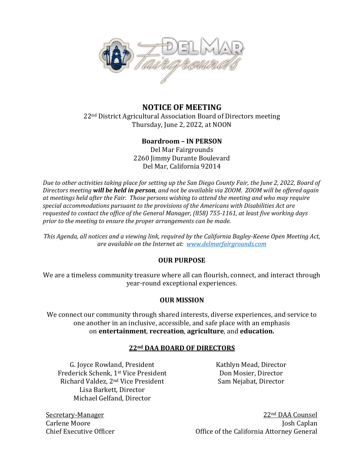

## **NOTICE OF MEETING** 22<sup>nd</sup> District Agricultural Association Board of Directors meeting Thursday, June 2, 2022, at NOON

# **Boardroom – IN PERSON**

Del Mar Fairgrounds 2260 Jimmy Durante Boulevard Del Mar, California 92014

*Due to other activities taking place for setting up the San Diego County Fair, the June 2, 2022, Board of Directors meeting will be held in person, and not be available via ZOOM. ZOOM will be offered again at meetings held after the Fair. Those persons wishing to attend the meeting and who may require special accommodations pursuant to the provisions of the Americans with Disabilities Act are requested to contact the office of the General Manager, (858) 755-1161, at least five working days prior to the meeting to ensure the proper arrangements can be made.*

*This Agenda, all notices and a viewing link, required by the California Bagley-Keene Open Meeting Act, are available on the Internet at: [www.delmarfairgrounds.com](http://www.delmarfairgrounds.com/)*

## **OUR PURPOSE**

We are a timeless community treasure where all can flourish, connect, and interact through year-round exceptional experiences.

## **OUR MISSION**

We connect our community through shared interests, diverse experiences, and service to one another in an inclusive, accessible, and safe place with an emphasis on **entertainment**, **recreation**, **agriculture**, and **education.**

# **22nd DAA BOARD OF DIRECTORS**

G. Joyce Rowland, President Kathlyn Mead, Director Frederick Schenk, 1<sup>st</sup> Vice President Frederick Don Mosier, Director Richard Valdez, 2<sup>nd</sup> Vice President Sam Nejabat, Director Lisa Barkett, Director Michael Gelfand, Director

Secretary-Manager 22nd DAA Counsel Carlene Moore Josh Caplan Chief Executive Officer Office of the California Attorney General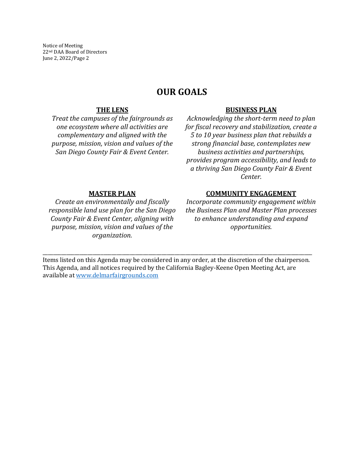Notice of Meeting 22nd DAA Board of Directors June 2, 2022/Page 2

# **OUR GOALS**

#### **THE LENS**

*Treat the campuses of the fairgrounds as one ecosystem where all activities are complementary and aligned with the purpose, mission, vision and values of the San Diego County Fair & Event Center.*

#### **BUSINESS PLAN**

*Acknowledging the short-term need to plan for fiscal recovery and stabilization, create a 5 to 10 year business plan that rebuilds a strong financial base, contemplates new business activities and partnerships, provides program accessibility, and leads to a thriving San Diego County Fair & Event Center.*

## **MASTER PLAN**

*Create an environmentally and fiscally responsible land use plan for the San Diego County Fair & Event Center, aligning with purpose, mission, vision and values of the organization.*

#### **COMMUNITY ENGAGEMENT**

*Incorporate community engagement within the Business Plan and Master Plan processes to enhance understanding and expand opportunities.*

Items listed on this Agenda may be considered in any order, at the discretion of the chairperson. This Agenda, and all notices required by the California Bagley-Keene Open Meeting Act, are available at [www.delmarfairgrounds.com](http://www.delmarfairgrounds.com/)

\_\_\_\_\_\_\_\_\_\_\_\_\_\_\_\_\_\_\_\_\_\_\_\_\_\_\_\_\_\_\_\_\_\_\_\_\_\_\_\_\_\_\_\_\_\_\_\_\_\_\_\_\_\_\_\_\_\_\_\_\_\_\_\_\_\_\_\_\_\_\_\_\_\_\_\_\_\_\_\_\_\_\_\_\_\_\_\_\_\_\_\_\_\_\_\_\_\_\_\_\_\_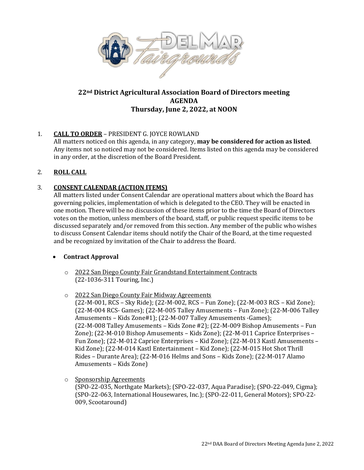

# **22nd District Agricultural Association Board of Directors meeting AGENDA Thursday, June 2, 2022, at NOON**

## 1. **CALL TO ORDER** – PRESIDENT G. JOYCE ROWLAND

All matters noticed on this agenda, in any category, **may be considered for action as listed**. Any items not so noticed may not be considered. Items listed on this agenda may be considered in any order, at the discretion of the Board President.

## 2. **ROLL CALL**

# 3. **CONSENT CALENDAR (ACTION ITEMS)**

All matters listed under Consent Calendar are operational matters about which the Board has governing policies, implementation of which is delegated to the CEO. They will be enacted in one motion. There will be no discussion of these items prior to the time the Board of Directors votes on the motion, unless members of the board, staff, or public request specific items to be discussed separately and/or removed from this section. Any member of the public who wishes to discuss Consent Calendar items should notify the Chair of the Board, at the time requested and be recognized by invitation of the Chair to address the Board.

## • **Contract Approval**

- o 2022 San Diego County Fair Grandstand Entertainment Contracts (22-1036-311 Touring, Inc.)
- o 2022 San Diego County Fair Midway Agreements
	- (22-M-001, RCS Sky Ride); (22-M-002, RCS Fun Zone); (22-M-003 RCS Kid Zone); (22-M-004 RCS- Games); (22-M-005 Talley Amusements – Fun Zone); (22-M-006 Talley Amusements – Kids Zone#1); (22-M-007 Talley Amusements -Games); (22-M-008 Talley Amusements – Kids Zone #2); (22-M-009 Bishop Amusements – Fun Zone); (22-M-010 Bishop Amusements – Kids Zone); (22-M-011 Caprice Enterprises – Fun Zone); (22-M-012 Caprice Enterprises – Kid Zone); (22-M-013 Kastl Amusements – Kid Zone); (22-M-014 Kastl Entertainment – Kid Zone); (22-M-015 Hot Shot Thrill Rides – Durante Area); (22-M-016 Helms and Sons – Kids Zone); (22-M-017 Alamo Amusements – Kids Zone)
- o Sponsorship Agreements

(SPO-22-035, Northgate Markets); (SPO-22-037, Aqua Paradise); (SPO-22-049, Cigma); (SPO-22-063, International Housewares, Inc.); (SPO-22-011, General Motors); SPO-22- 009, Scootaround)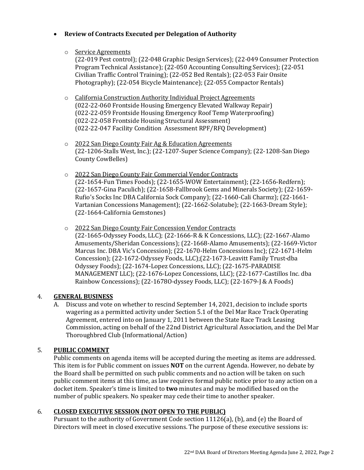## • **Review of Contracts Executed per Delegation of Authority**

o Service Agreements

(22-019 Pest control); (22-048 Graphic Design Services); (22-049 Consumer Protection Program Technical Assistance); (22-050 Accounting Consulting Services); (22-051 Civilian Traffic Control Training); (22-052 Bed Rentals); (22-053 Fair Onsite Photography); (22-054 Bicycle Maintenance); (22-055 Compactor Rentals)

- o California Construction Authority Individual Project Agreements (022-22-060 Frontside Housing Emergency Elevated Walkway Repair) (022-22-059 Frontside Housing Emergency Roof Temp Waterproofing) (022-22-058 Frontside Housing Structural Assessment) (022-22-047 Facility Condition Assessment RPF/RFQ Development)
- o 2022 San Diego County Fair Ag & Education Agreements (22-1206-Stalls West, Inc.); (22-1207-Super Science Company); (22-1208-San Diego County CowBelles)
- o 2022 San Diego County Fair Commercial Vendor Contracts (22-1654-Fun Times Foods); (22-1655-WOW Entertainment); (22-1656-Redfern); (22-1657-Gina Paculich); (22-1658-Fallbrook Gems and Minerals Society); (22-1659- Rufio's Socks Inc DBA California Sock Company); (22-1660-Cali Charmz); (22-1661- Vartanian Concessions Management); (22-1662-Solatube); (22-1663-Dream Style); (22-1664-California Gemstones)
- o 2022 San Diego County Fair Concession Vendor Contracts (22-1665-Odyssey Foods, LLC); (22-1666-R & K Concessions, LLC); (22-1667-Alamo

Amusements/Sheridan Concessions); (22-1668-Alamo Amusements); (22-1669-Victor Marcus Inc. DBA Vic's Concession); (22-1670-Helm Concessions Inc); (22-1671-Helm Concession); (22-1672-Odyssey Foods, LLC);(22-1673-Leavitt Family Trust-dba Odyssey Foods); (22-1674-Lopez Concessions, LLC); (22-1675-PARADISE MANAGEMENT LLC); (22-1676-Lopez Concessions, LLC); (22-1677-Castillos Inc. dba Rainbow Concessions); (22-1678O-dyssey Foods, LLC); (22-1679-J & A Foods)

# 4. **GENERAL BUSINESS**

A. Discuss and vote on whether to rescind September 14, 2021, decision to include sports wagering as a permitted activity under Section 5.1 of the Del Mar Race Track Operating Agreement, entered into on January 1, 2011 between the State Race Track Leasing Commission, acting on behalf of the 22nd District Agricultural Association, and the Del Mar Thoroughbred Club (Informational/Action)

# 5. **PUBLIC COMMENT**

Public comments on agenda items will be accepted during the meeting as items are addressed. This item is for Public comment on issues **NOT** on the current Agenda. However, no debate by the Board shall be permitted on such public comments and no action will be taken on such public comment items at this time, as law requires formal public notice prior to any action on a docket item. Speaker's time is limited to **two** minutes and may be modified based on the number of public speakers. No speaker may cede their time to another speaker.

# 6. **CLOSED EXECUTIVE SESSION (NOT OPEN TO THE PUBLIC)**

Pursuant to the authority of Government Code section 11126(a), (b), and (e) the Board of Directors will meet in closed executive sessions. The purpose of these executive sessions is: